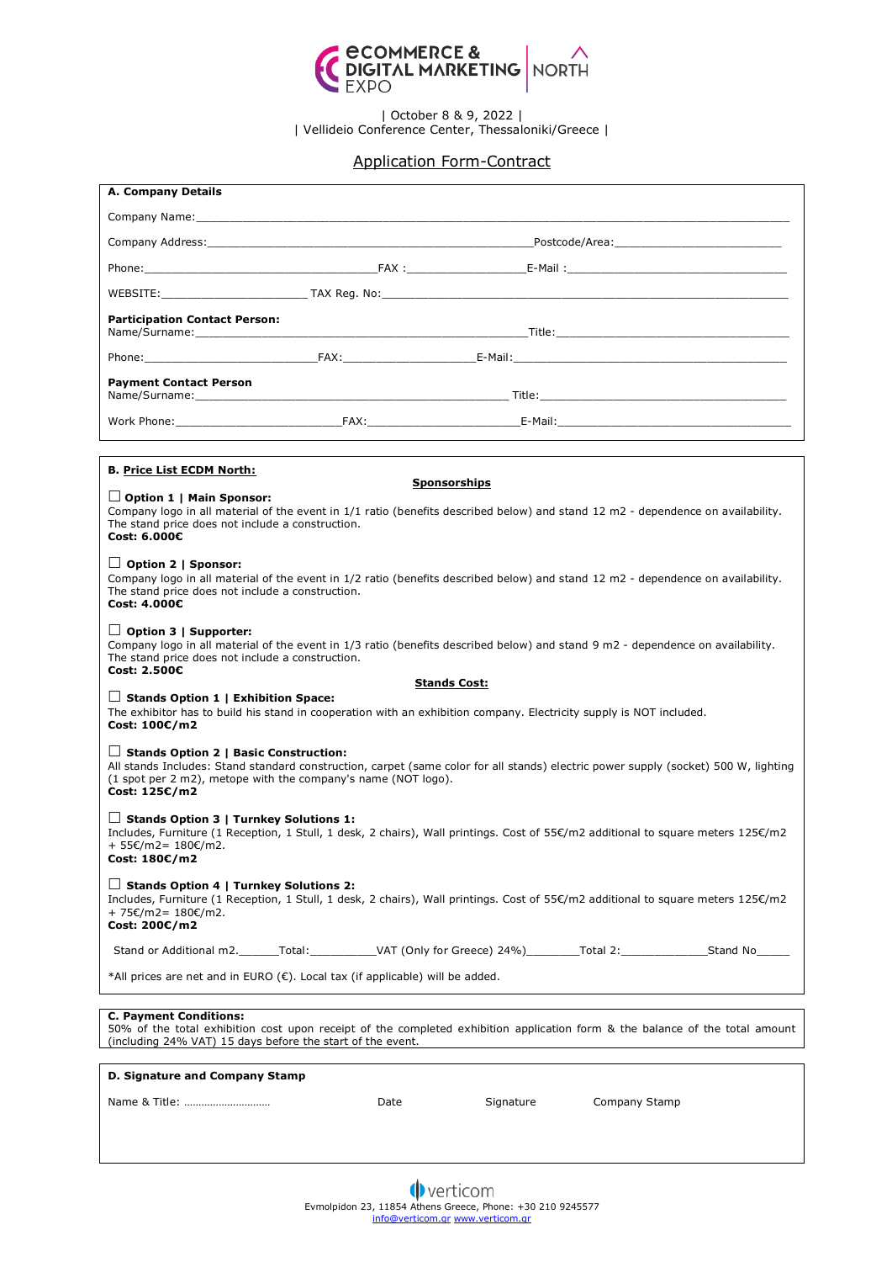

| October 8 & 9, 2022 | | Vellideio Conference Center, Thessaloniki/Greece |

## Application Form-Contract

| <b>A. Company Details</b>                                                                                                                                                                                                                                             |      |           |                                                                                                                                                                                                                                                                                                                                                                                                                                                                                            |
|-----------------------------------------------------------------------------------------------------------------------------------------------------------------------------------------------------------------------------------------------------------------------|------|-----------|--------------------------------------------------------------------------------------------------------------------------------------------------------------------------------------------------------------------------------------------------------------------------------------------------------------------------------------------------------------------------------------------------------------------------------------------------------------------------------------------|
|                                                                                                                                                                                                                                                                       |      |           |                                                                                                                                                                                                                                                                                                                                                                                                                                                                                            |
|                                                                                                                                                                                                                                                                       |      |           |                                                                                                                                                                                                                                                                                                                                                                                                                                                                                            |
|                                                                                                                                                                                                                                                                       |      |           |                                                                                                                                                                                                                                                                                                                                                                                                                                                                                            |
|                                                                                                                                                                                                                                                                       |      |           | $\blacksquare$ $\blacksquare$ $\blacksquare$ $\blacksquare$ $\blacksquare$ $\blacksquare$ $\blacksquare$ $\blacksquare$ $\blacksquare$ $\blacksquare$ $\blacksquare$ $\blacksquare$ $\blacksquare$ $\blacksquare$ $\blacksquare$ $\blacksquare$ $\blacksquare$ $\blacksquare$ $\blacksquare$ $\blacksquare$ $\blacksquare$ $\blacksquare$ $\blacksquare$ $\blacksquare$ $\blacksquare$ $\blacksquare$ $\blacksquare$ $\blacksquare$ $\blacksquare$ $\blacksquare$ $\blacksquare$ $\blacks$ |
| <b>Participation Contact Person:</b>                                                                                                                                                                                                                                  |      |           |                                                                                                                                                                                                                                                                                                                                                                                                                                                                                            |
|                                                                                                                                                                                                                                                                       |      |           |                                                                                                                                                                                                                                                                                                                                                                                                                                                                                            |
| <b>Payment Contact Person</b>                                                                                                                                                                                                                                         |      |           |                                                                                                                                                                                                                                                                                                                                                                                                                                                                                            |
|                                                                                                                                                                                                                                                                       |      |           | Work Phone: The Contract of Contract Contract Contract Contract Contract Contract Contract Contract Contract Contract Contract Contract Contract Contract Contract Contract Contract Contract Contract Contract Contract Contr                                                                                                                                                                                                                                                             |
|                                                                                                                                                                                                                                                                       |      |           |                                                                                                                                                                                                                                                                                                                                                                                                                                                                                            |
| <b>B. Price List ECDM North:</b><br><b>Sponsorships</b>                                                                                                                                                                                                               |      |           |                                                                                                                                                                                                                                                                                                                                                                                                                                                                                            |
| $\Box$ Option 1   Main Sponsor:<br>Company logo in all material of the event in 1/1 ratio (benefits described below) and stand 12 m2 - dependence on availability.<br>The stand price does not include a construction.<br>Cost: 6.000€                                |      |           |                                                                                                                                                                                                                                                                                                                                                                                                                                                                                            |
| $\Box$ Option 2   Sponsor:<br>Company logo in all material of the event in 1/2 ratio (benefits described below) and stand 12 m2 - dependence on availability.<br>The stand price does not include a construction.<br>Cost: 4.000€                                     |      |           |                                                                                                                                                                                                                                                                                                                                                                                                                                                                                            |
| $\Box$ Option 3   Supporter:<br>Company logo in all material of the event in 1/3 ratio (benefits described below) and stand 9 m2 - dependence on availability.<br>The stand price does not include a construction.<br>Cost: 2.500€                                    |      |           |                                                                                                                                                                                                                                                                                                                                                                                                                                                                                            |
| <b>Stands Cost:</b>                                                                                                                                                                                                                                                   |      |           |                                                                                                                                                                                                                                                                                                                                                                                                                                                                                            |
| $\Box$ Stands Option 1   Exhibition Space:<br>The exhibitor has to build his stand in cooperation with an exhibition company. Electricity supply is NOT included.<br>Cost: 100€/m2                                                                                    |      |           |                                                                                                                                                                                                                                                                                                                                                                                                                                                                                            |
| $\Box$ Stands Option 2   Basic Construction:<br>All stands Includes: Stand standard construction, carpet (same color for all stands) electric power supply (socket) 500 W, lighting<br>(1 spot per 2 m2), metope with the company's name (NOT logo).<br>Cost: 125€/m2 |      |           |                                                                                                                                                                                                                                                                                                                                                                                                                                                                                            |
| $\Box$ Stands Option 3   Turnkey Solutions 1:<br>Includes, Furniture (1 Reception, 1 Stull, 1 desk, 2 chairs), Wall printings. Cost of 55€/m2 additional to square meters 125€/m2<br>+ 55€/m2= 180€/m2.<br>Cost: 180€/m2                                              |      |           |                                                                                                                                                                                                                                                                                                                                                                                                                                                                                            |
| $\Box$ Stands Option 4   Turnkey Solutions 2:<br>Includes, Furniture (1 Reception, 1 Stull, 1 desk, 2 chairs), Wall printings. Cost of 55€/m2 additional to square meters 125€/m2<br>+ 75€/m2= 180€/m2.<br>Cost: 200€/m2                                              |      |           |                                                                                                                                                                                                                                                                                                                                                                                                                                                                                            |
|                                                                                                                                                                                                                                                                       |      |           | Stand or Additional m2. Total: VAT (Only for Greece) 24%) Total 2: Stand No                                                                                                                                                                                                                                                                                                                                                                                                                |
| *All prices are net and in EURO (€). Local tax (if applicable) will be added.                                                                                                                                                                                         |      |           |                                                                                                                                                                                                                                                                                                                                                                                                                                                                                            |
|                                                                                                                                                                                                                                                                       |      |           |                                                                                                                                                                                                                                                                                                                                                                                                                                                                                            |
| <b>C. Payment Conditions:</b><br>50% of the total exhibition cost upon receipt of the completed exhibition application form & the balance of the total amount<br>(including 24% VAT) 15 days before the start of the event.                                           |      |           |                                                                                                                                                                                                                                                                                                                                                                                                                                                                                            |
| D. Signature and Company Stamp                                                                                                                                                                                                                                        |      |           |                                                                                                                                                                                                                                                                                                                                                                                                                                                                                            |
|                                                                                                                                                                                                                                                                       | Date | Signature | Company Stamp                                                                                                                                                                                                                                                                                                                                                                                                                                                                              |
|                                                                                                                                                                                                                                                                       |      |           |                                                                                                                                                                                                                                                                                                                                                                                                                                                                                            |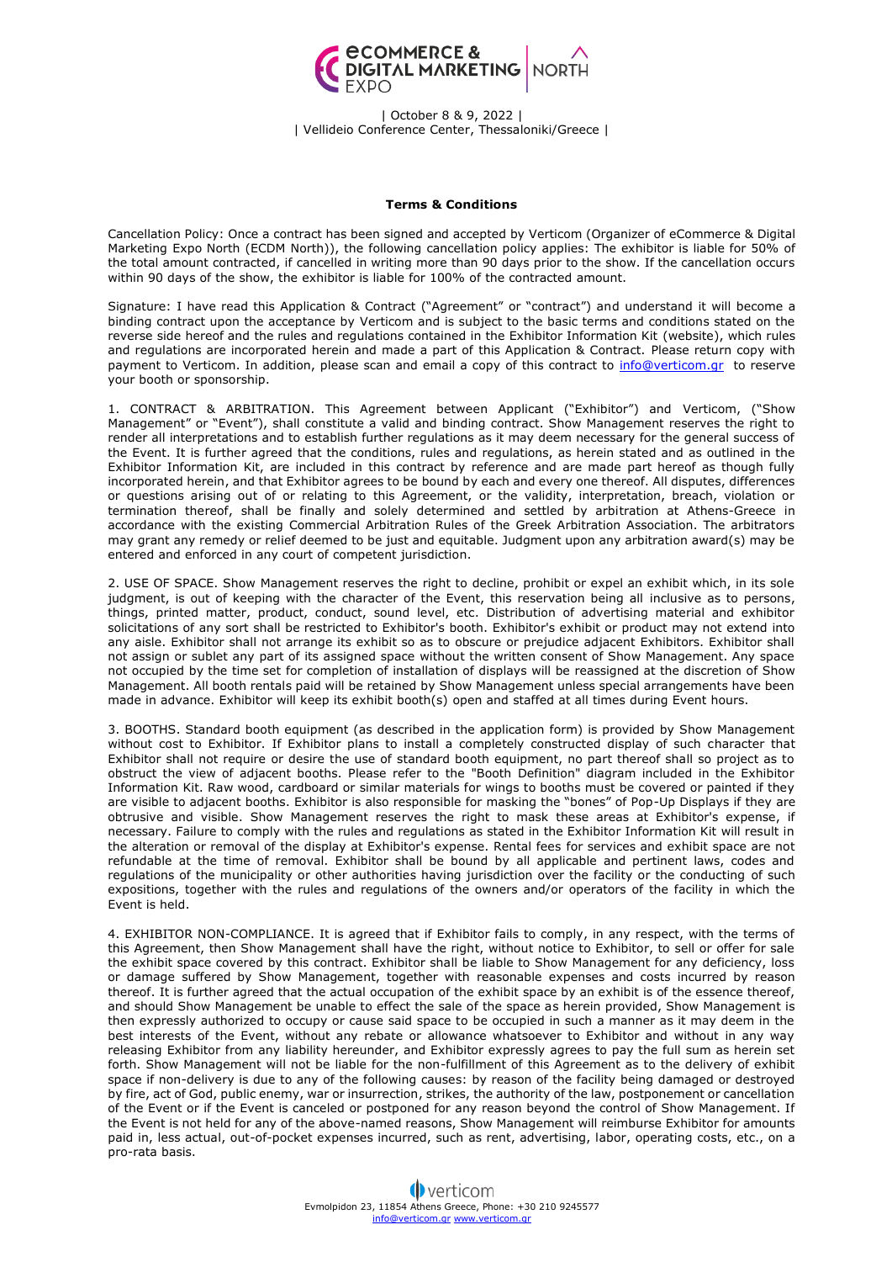

| October 8 & 9, 2022 | | Vellideio Conference Center, Thessaloniki/Greece |

## **Terms & Conditions**

Cancellation Policy: Once a contract has been signed and accepted by Verticom (Organizer of eCommerce & Digital Marketing Expo North (ECDM North)), the following cancellation policy applies: The exhibitor is liable for 50% of the total amount contracted, if cancelled in writing more than 90 days prior to the show. If the cancellation occurs within 90 days of the show, the exhibitor is liable for 100% of the contracted amount.

Signature: I have read this Application & Contract ("Agreement" or "contract") and understand it will become a binding contract upon the acceptance by Verticom and is subject to the basic terms and conditions stated on the reverse side hereof and the rules and regulations contained in the Exhibitor Information Kit (website), which rules and regulations are incorporated herein and made a part of this Application & Contract. Please return copy with payment to Verticom. In addition, please scan and email a copy of this contract to [info@verticom.gr](mailto:info@verticom.gr) to reserve your booth or sponsorship.

1. CONTRACT & ARBITRATION. This Agreement between Applicant ("Exhibitor") and Verticom, ("Show Management" or "Event"), shall constitute a valid and binding contract. Show Management reserves the right to render all interpretations and to establish further regulations as it may deem necessary for the general success of the Event. It is further agreed that the conditions, rules and regulations, as herein stated and as outlined in the Exhibitor Information Kit, are included in this contract by reference and are made part hereof as though fully incorporated herein, and that Exhibitor agrees to be bound by each and every one thereof. All disputes, differences or questions arising out of or relating to this Agreement, or the validity, interpretation, breach, violation or termination thereof, shall be finally and solely determined and settled by arbitration at Athens-Greece in accordance with the existing Commercial Arbitration Rules of the Greek Arbitration Association. The arbitrators may grant any remedy or relief deemed to be just and equitable. Judgment upon any arbitration award(s) may be entered and enforced in any court of competent jurisdiction.

2. USE OF SPACE. Show Management reserves the right to decline, prohibit or expel an exhibit which, in its sole judgment, is out of keeping with the character of the Event, this reservation being all inclusive as to persons, things, printed matter, product, conduct, sound level, etc. Distribution of advertising material and exhibitor solicitations of any sort shall be restricted to Exhibitor's booth. Exhibitor's exhibit or product may not extend into any aisle. Exhibitor shall not arrange its exhibit so as to obscure or prejudice adjacent Exhibitors. Exhibitor shall not assign or sublet any part of its assigned space without the written consent of Show Management. Any space not occupied by the time set for completion of installation of displays will be reassigned at the discretion of Show Management. All booth rentals paid will be retained by Show Management unless special arrangements have been made in advance. Exhibitor will keep its exhibit booth(s) open and staffed at all times during Event hours.

3. BOOTHS. Standard booth equipment (as described in the application form) is provided by Show Management without cost to Exhibitor. If Exhibitor plans to install a completely constructed display of such character that Exhibitor shall not require or desire the use of standard booth equipment, no part thereof shall so project as to obstruct the view of adjacent booths. Please refer to the "Booth Definition" diagram included in the Exhibitor Information Kit. Raw wood, cardboard or similar materials for wings to booths must be covered or painted if they are visible to adjacent booths. Exhibitor is also responsible for masking the "bones" of Pop-Up Displays if they are obtrusive and visible. Show Management reserves the right to mask these areas at Exhibitor's expense, if necessary. Failure to comply with the rules and regulations as stated in the Exhibitor Information Kit will result in the alteration or removal of the display at Exhibitor's expense. Rental fees for services and exhibit space are not refundable at the time of removal. Exhibitor shall be bound by all applicable and pertinent laws, codes and regulations of the municipality or other authorities having jurisdiction over the facility or the conducting of such expositions, together with the rules and regulations of the owners and/or operators of the facility in which the Event is held.

4. EXHIBITOR NON-COMPLIANCE. It is agreed that if Exhibitor fails to comply, in any respect, with the terms of this Agreement, then Show Management shall have the right, without notice to Exhibitor, to sell or offer for sale the exhibit space covered by this contract. Exhibitor shall be liable to Show Management for any deficiency, loss or damage suffered by Show Management, together with reasonable expenses and costs incurred by reason thereof. It is further agreed that the actual occupation of the exhibit space by an exhibit is of the essence thereof, and should Show Management be unable to effect the sale of the space as herein provided, Show Management is then expressly authorized to occupy or cause said space to be occupied in such a manner as it may deem in the best interests of the Event, without any rebate or allowance whatsoever to Exhibitor and without in any way releasing Exhibitor from any liability hereunder, and Exhibitor expressly agrees to pay the full sum as herein set forth. Show Management will not be liable for the non-fulfillment of this Agreement as to the delivery of exhibit space if non-delivery is due to any of the following causes: by reason of the facility being damaged or destroyed by fire, act of God, public enemy, war or insurrection, strikes, the authority of the law, postponement or cancellation of the Event or if the Event is canceled or postponed for any reason beyond the control of Show Management. If the Event is not held for any of the above-named reasons, Show Management will reimburse Exhibitor for amounts paid in, less actual, out-of-pocket expenses incurred, such as rent, advertising, labor, operating costs, etc., on a pro-rata basis.